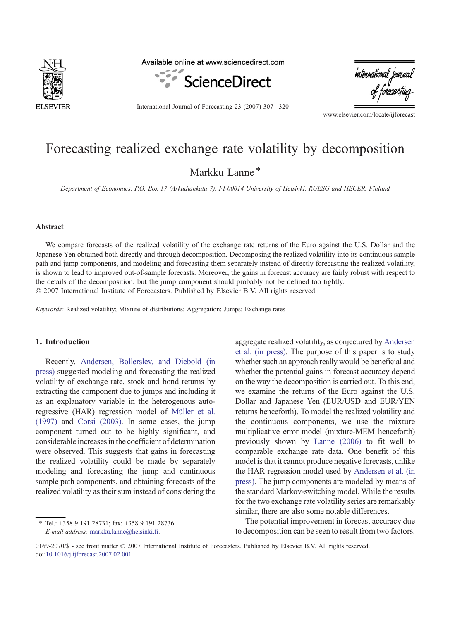

Available online at www.sciencedirect.com



International Journal of Forecasting 23 (2007) 307–320

international journa.<br>of forecasting

www.elsevier.com/locate/ijforecast

# Forecasting realized exchange rate volatility by decomposition

Markku Lanne<sup>\*</sup>

Department of Economics, P.O. Box 17 (Arkadiankatu 7), FI-00014 University of Helsinki, RUESG and HECER, Finland

### Abstract

We compare forecasts of the realized volatility of the exchange rate returns of the Euro against the U.S. Dollar and the Japanese Yen obtained both directly and through decomposition. Decomposing the realized volatility into its continuous sample path and jump components, and modeling and forecasting them separately instead of directly forecasting the realized volatility, is shown to lead to improved out-of-sample forecasts. Moreover, the gains in forecast accuracy are fairly robust with respect to the details of the decomposition, but the jump component should probably not be defined too tightly. © 2007 International Institute of Forecasters. Published by Elsevier B.V. All rights reserved.

Keywords: Realized volatility; Mixture of distributions; Aggregation; Jumps; Exchange rates

## 1. Introduction

Recently, [Andersen, Bollerslev, and Diebold \(in](#page--1-0) [press\)](#page--1-0) suggested modeling and forecasting the realized volatility of exchange rate, stock and bond returns by extracting the component due to jumps and including it as an explanatory variable in the heterogenous autoregressive (HAR) regression model of [Müller et al.](#page--1-0) [\(1997\)](#page--1-0) and [Corsi \(2003\)](#page--1-0). In some cases, the jump component turned out to be highly significant, and considerable increases in the coefficient of determination were observed. This suggests that gains in forecasting the realized volatility could be made by separately modeling and forecasting the jump and continuous sample path components, and obtaining forecasts of the realized volatility as their sum instead of considering the

⁎ Tel.: +358 9 191 28731; fax: +358 9 191 28736. E-mail address: [markku.lanne@helsinki.fi.](mailto:markku.lanne@helsinki.fi)

aggregate realized volatility, as conjectured by [Andersen](#page--1-0) [et al. \(in press\).](#page--1-0) The purpose of this paper is to study whether such an approach really would be beneficial and whether the potential gains in forecast accuracy depend on the way the decomposition is carried out. To this end, we examine the returns of the Euro against the U.S. Dollar and Japanese Yen (EUR/USD and EUR/YEN returns henceforth). To model the realized volatility and the continuous components, we use the mixture multiplicative error model (mixture-MEM henceforth) previously shown by [Lanne \(2006\)](#page--1-0) to fit well to comparable exchange rate data. One benefit of this model is that it cannot produce negative forecasts, unlike the HAR regression model used by [Andersen et al. \(in](#page--1-0) [press\)](#page--1-0). The jump components are modeled by means of the standard Markov-switching model. While the results for the two exchange rate volatility series are remarkably similar, there are also some notable differences.

The potential improvement in forecast accuracy due to decomposition can be seen to result from two factors.

<sup>0169-2070/\$ -</sup> see front matter © 2007 International Institute of Forecasters. Published by Elsevier B.V. All rights reserved. doi:[10.1016/j.ijforecast.2007.02.001](http://dx.doi.org/10.1016/j.ijforecast.2007.02.001)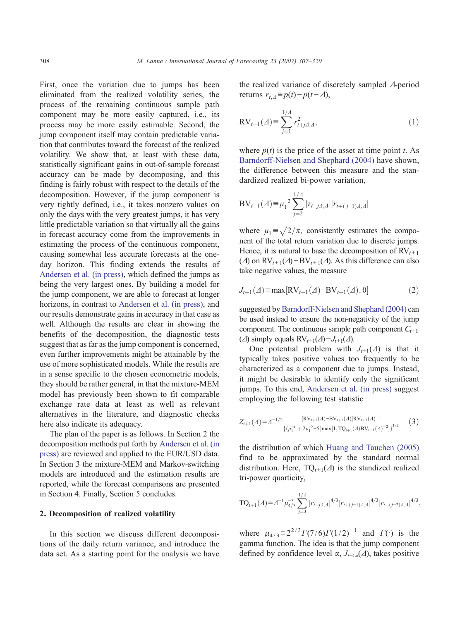First, once the variation due to jumps has been eliminated from the realized volatility series, the process of the remaining continuous sample path component may be more easily captured, i.e., its process may be more easily estimable. Second, the jump component itself may contain predictable variation that contributes toward the forecast of the realized volatility. We show that, at least with these data, statistically significant gains in out-of-sample forecast accuracy can be made by decomposing, and this finding is fairly robust with respect to the details of the decomposition. However, if the jump component is very tightly defined, i.e., it takes nonzero values on only the days with the very greatest jumps, it has very little predictable variation so that virtually all the gains in forecast accuracy come from the improvements in estimating the process of the continuous component, causing somewhat less accurate forecasts at the oneday horizon. This finding extends the results of [Andersen et al. \(in press\),](#page--1-0) which defined the jumps as being the very largest ones. By building a model for the jump component, we are able to forecast at longer horizons, in contrast to [Andersen et al. \(in press\),](#page--1-0) and our results demonstrate gains in accuracy in that case as well. Although the results are clear in showing the benefits of the decomposition, the diagnostic tests suggest that as far as the jump component is concerned, even further improvements might be attainable by the use of more sophisticated models. While the results are in a sense specific to the chosen econometric models, they should be rather general, in that the mixture-MEM model has previously been shown to fit comparable exchange rate data at least as well as relevant alternatives in the literature, and diagnostic checks here also indicate its adequacy.

The plan of the paper is as follows. In Section 2 the decomposition methods put forth by [Andersen et al. \(in](#page--1-0) [press\)](#page--1-0) are reviewed and applied to the EUR/USD data. In Section 3 the mixture-MEM and Markov-switching models are introduced and the estimation results are reported, while the forecast comparisons are presented in Section 4. Finally, Section 5 concludes.

### 2. Decomposition of realized volatility

In this section we discuss different decompositions of the daily return variance, and introduce the data set. As a starting point for the analysis we have the realized variance of discretely sampled Δ-period returns  $r_{t, \Delta} \equiv p(t) - p(t - \Delta)$ ,

$$
RV_{t+1}(A) = \sum_{j=1}^{1/A} r_{t+jA,A}^2,
$$
\n(1)

where  $p(t)$  is the price of the asset at time point t. As [Barndorff-Nielsen and Shephard \(2004\)](#page--1-0) have shown, the difference between this measure and the standardized realized bi-power variation,

$$
BV_{t+1}(\varDelta) = \mu_1^{-2} \sum_{j=2}^{1/\varDelta} |r_{t+j\varDelta,\varDelta}| |r_{t+(j-1)\varDelta,\varDelta}|
$$

where  $\mu_1 = \sqrt{2/\pi}$ , consistently estimates the component of the total return variation due to discrete jumps. Hence, it is natural to base the decomposition of  $RV_{t+1}$ ( $\Delta$ ) on RV<sub>t+1</sub>( $\Delta$ )−BV<sub>t+1</sub>( $\Delta$ ). As this difference can also take negative values, the measure

$$
J_{t+1}(\Delta) = \max[\text{RV}_{t+1}(\Delta) - \text{BV}_{t+1}(\Delta), 0] \tag{2}
$$

suggested by [Barndorff-Nielsen and Shephard \(2004\)](#page--1-0) can be used instead to ensure the non-negativity of the jump component. The continuous sample path component  $C_{t+1}$ ( $\Delta$ ) simply equals RV<sub>t+1</sub>( $\Delta$ )− $J_{t+1}(\Delta)$ .

One potential problem with  $J_{t+1}(\Delta)$  is that it typically takes positive values too frequently to be characterized as a component due to jumps. Instead, it might be desirable to identify only the significant jumps. To this end, [Andersen et al. \(in press\)](#page--1-0) suggest employing the following test statistic

$$
Z_{t+1}(A) = A^{-1/2} \frac{[\mathbf{R} \mathbf{V}_{t+1}(A) - \mathbf{B} \mathbf{V}_{t+1}(A)] \mathbf{R} \mathbf{V}_{t+1}(A)^{-1}}{\{(\mu_1^{-4} + 2\mu_1^{-2} - 5) \max[1, \mathbf{T} \mathbf{Q}_{t+1}(A) \mathbf{B} \mathbf{V}_{t+1}(A)^{-2}]\}^{1/2}}
$$
 (3)

the distribution of which [Huang and Tauchen \(2005\)](#page--1-0) find to be approximated by the standard normal distribution. Here,  $TQ_{t+1}(\Delta)$  is the standized realized tri-power quarticity,

$$
TQ_{t+1}(\Delta) = \Delta^{-1} \mu_{4/3}^{-3} \sum_{j=3}^{1/4} |r_{t+j\Delta,\Delta}|^{4/3} |r_{t+(j-1)\Delta,\Delta}|^{4/3} |r_{t+(j-2)\Delta,\Delta}|^{4/3},
$$

where  $\mu_{4/3} \equiv 2^{2/3} \Gamma(7/6) \Gamma(1/2)^{-1}$  and  $\Gamma(\cdot)$  is the gamma function. The idea is that the jump component defined by confidence level  $\alpha$ ,  $J_{t+1,\alpha}(\Delta)$ , takes positive